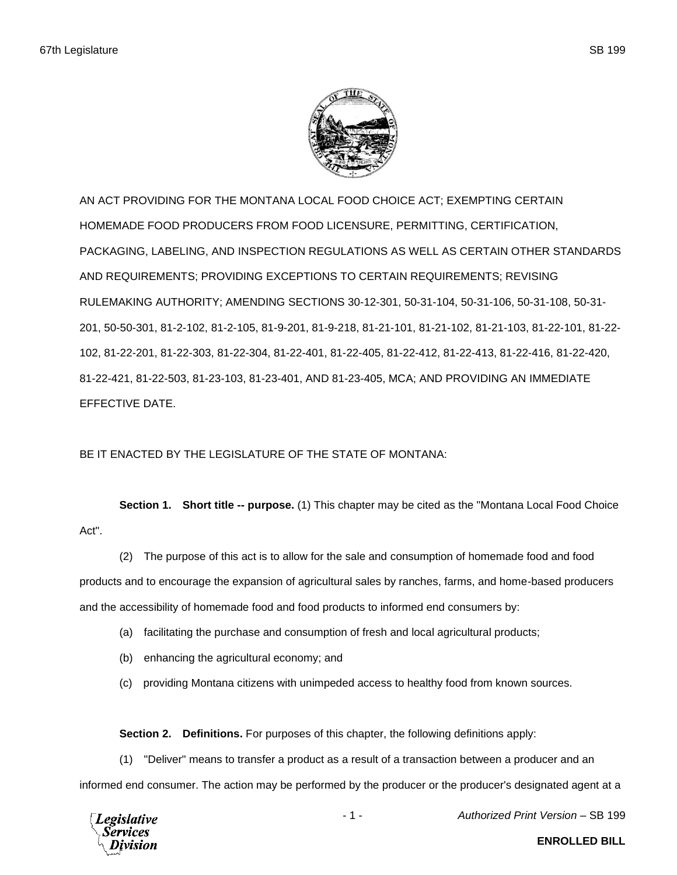

AN ACT PROVIDING FOR THE MONTANA LOCAL FOOD CHOICE ACT; EXEMPTING CERTAIN HOMEMADE FOOD PRODUCERS FROM FOOD LICENSURE, PERMITTING, CERTIFICATION, PACKAGING, LABELING, AND INSPECTION REGULATIONS AS WELL AS CERTAIN OTHER STANDARDS AND REQUIREMENTS; PROVIDING EXCEPTIONS TO CERTAIN REQUIREMENTS; REVISING RULEMAKING AUTHORITY; AMENDING SECTIONS 30-12-301, 50-31-104, 50-31-106, 50-31-108, 50-31- 201, 50-50-301, 81-2-102, 81-2-105, 81-9-201, 81-9-218, 81-21-101, 81-21-102, 81-21-103, 81-22-101, 81-22- 102, 81-22-201, 81-22-303, 81-22-304, 81-22-401, 81-22-405, 81-22-412, 81-22-413, 81-22-416, 81-22-420, 81-22-421, 81-22-503, 81-23-103, 81-23-401, AND 81-23-405, MCA; AND PROVIDING AN IMMEDIATE EFFECTIVE DATE.

BE IT ENACTED BY THE LEGISLATURE OF THE STATE OF MONTANA:

**Section 1. Short title -- purpose.** (1) This chapter may be cited as the "Montana Local Food Choice Act".

(2) The purpose of this act is to allow for the sale and consumption of homemade food and food products and to encourage the expansion of agricultural sales by ranches, farms, and home-based producers and the accessibility of homemade food and food products to informed end consumers by:

- (a) facilitating the purchase and consumption of fresh and local agricultural products;
- (b) enhancing the agricultural economy; and
- (c) providing Montana citizens with unimpeded access to healthy food from known sources.

**Section 2. Definitions.** For purposes of this chapter, the following definitions apply:

(1) "Deliver" means to transfer a product as a result of a transaction between a producer and an informed end consumer. The action may be performed by the producer or the producer's designated agent at a



- 1 - *Authorized Print Version* – SB 199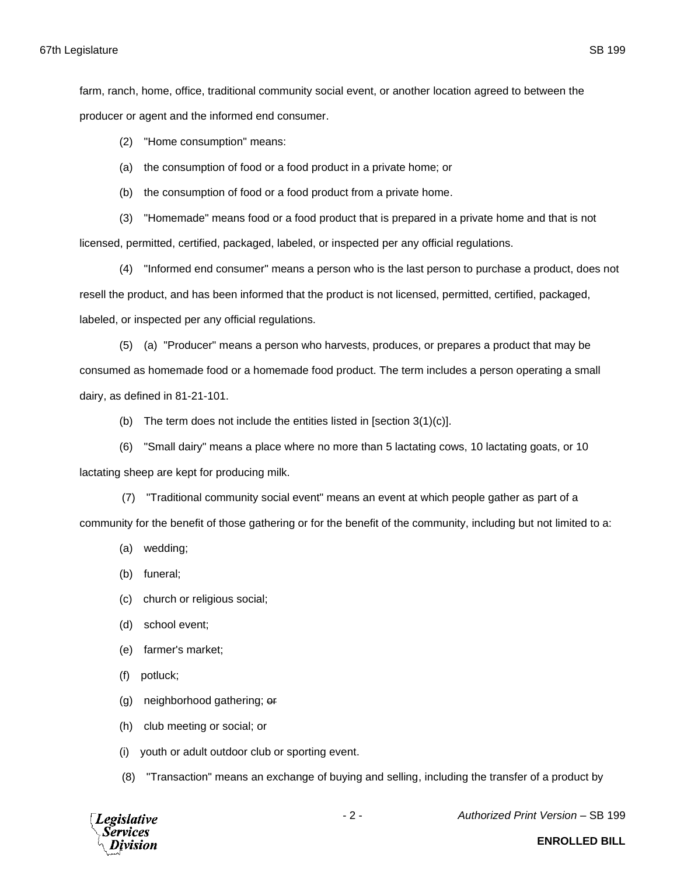farm, ranch, home, office, traditional community social event, or another location agreed to between the producer or agent and the informed end consumer.

(2) "Home consumption" means:

(a) the consumption of food or a food product in a private home; or

(b) the consumption of food or a food product from a private home.

(3) "Homemade" means food or a food product that is prepared in a private home and that is not licensed, permitted, certified, packaged, labeled, or inspected per any official regulations.

(4) "Informed end consumer" means a person who is the last person to purchase a product, does not resell the product, and has been informed that the product is not licensed, permitted, certified, packaged, labeled, or inspected per any official regulations.

(5) (a) "Producer" means a person who harvests, produces, or prepares a product that may be consumed as homemade food or a homemade food product. The term includes a person operating a small dairy, as defined in 81-21-101.

(b) The term does not include the entities listed in [section  $3(1)(c)$ ].

(6) "Small dairy" means a place where no more than 5 lactating cows, 10 lactating goats, or 10 lactating sheep are kept for producing milk.

(7) "Traditional community social event" means an event at which people gather as part of a community for the benefit of those gathering or for the benefit of the community, including but not limited to a:

(a) wedding;

(b) funeral;

- (c) church or religious social;
- (d) school event;
- (e) farmer's market;

(f) potluck;

(g) neighborhood gathering; or

(h) club meeting or social; or

(i) youth or adult outdoor club or sporting event.

(8) "Transaction" means an exchange of buying and selling, including the transfer of a product by



- 2 - *Authorized Print Version* – SB 199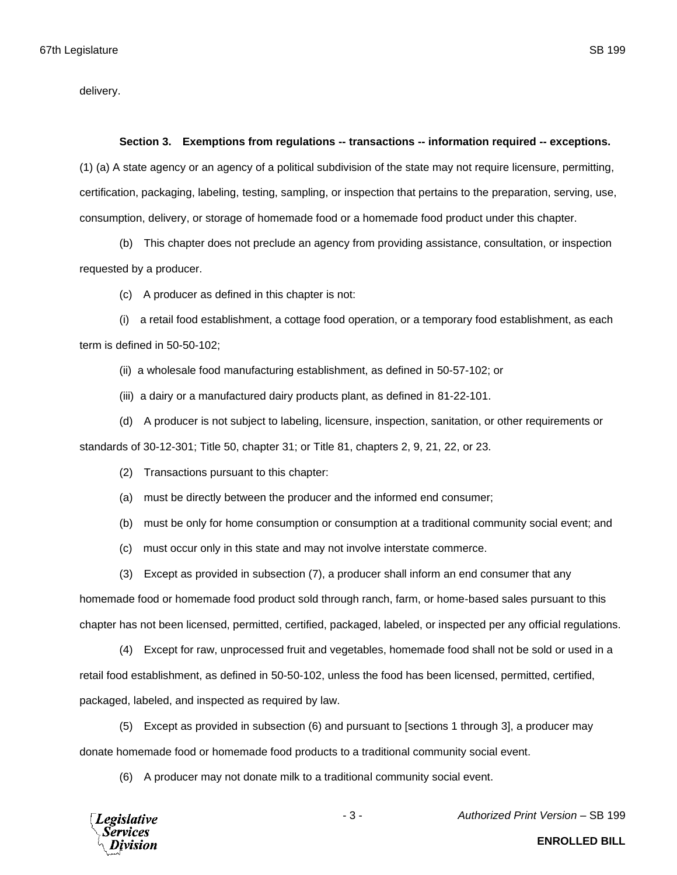delivery.

## **Section 3. Exemptions from regulations -- transactions -- information required -- exceptions.**

(1) (a) A state agency or an agency of a political subdivision of the state may not require licensure, permitting, certification, packaging, labeling, testing, sampling, or inspection that pertains to the preparation, serving, use, consumption, delivery, or storage of homemade food or a homemade food product under this chapter.

(b) This chapter does not preclude an agency from providing assistance, consultation, or inspection requested by a producer.

(c) A producer as defined in this chapter is not:

(i) a retail food establishment, a cottage food operation, or a temporary food establishment, as each term is defined in 50-50-102;

(ii) a wholesale food manufacturing establishment, as defined in 50-57-102; or

(iii) a dairy or a manufactured dairy products plant, as defined in 81-22-101.

(d) A producer is not subject to labeling, licensure, inspection, sanitation, or other requirements or standards of 30-12-301; Title 50, chapter 31; or Title 81, chapters 2, 9, 21, 22, or 23.

(2) Transactions pursuant to this chapter:

(a) must be directly between the producer and the informed end consumer;

(b) must be only for home consumption or consumption at a traditional community social event; and

(c) must occur only in this state and may not involve interstate commerce.

(3) Except as provided in subsection (7), a producer shall inform an end consumer that any

homemade food or homemade food product sold through ranch, farm, or home-based sales pursuant to this chapter has not been licensed, permitted, certified, packaged, labeled, or inspected per any official regulations.

(4) Except for raw, unprocessed fruit and vegetables, homemade food shall not be sold or used in a retail food establishment, as defined in 50-50-102, unless the food has been licensed, permitted, certified, packaged, labeled, and inspected as required by law.

(5) Except as provided in subsection (6) and pursuant to [sections 1 through 3], a producer may donate homemade food or homemade food products to a traditional community social event.

(6) A producer may not donate milk to a traditional community social event.



- 3 - *Authorized Print Version* – SB 199

**Legislative Services**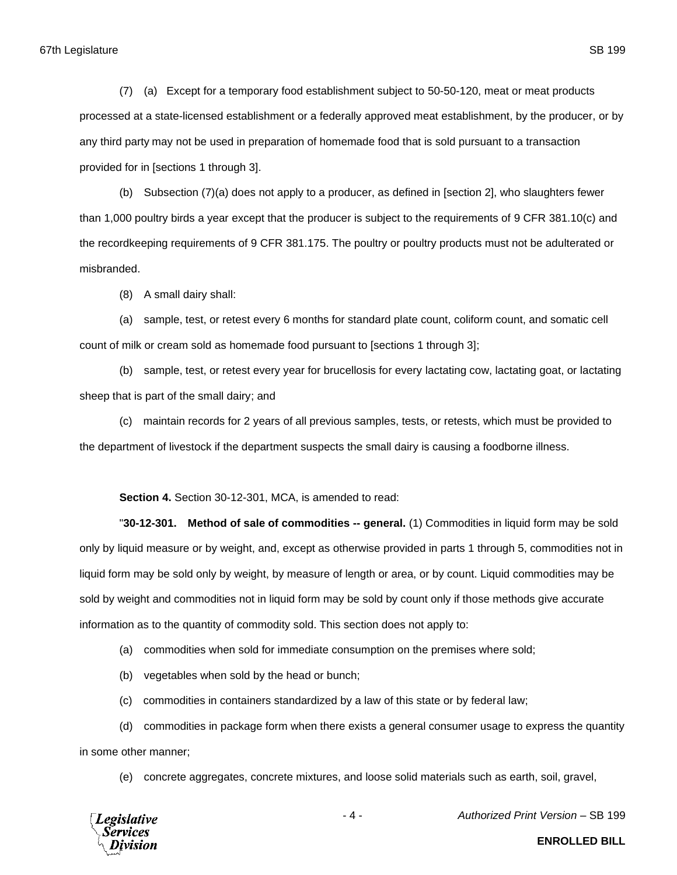(7) (a) Except for a temporary food establishment subject to 50-50-120, meat or meat products processed at a state-licensed establishment or a federally approved meat establishment, by the producer, or by any third party may not be used in preparation of homemade food that is sold pursuant to a transaction provided for in [sections 1 through 3].

(b) Subsection (7)(a) does not apply to a producer, as defined in [section 2], who slaughters fewer than 1,000 poultry birds a year except that the producer is subject to the requirements of 9 CFR 381.10(c) and the recordkeeping requirements of 9 CFR 381.175. The poultry or poultry products must not be adulterated or misbranded.

(8) A small dairy shall:

(a) sample, test, or retest every 6 months for standard plate count, coliform count, and somatic cell count of milk or cream sold as homemade food pursuant to [sections 1 through 3];

(b) sample, test, or retest every year for brucellosis for every lactating cow, lactating goat, or lactating sheep that is part of the small dairy; and

(c) maintain records for 2 years of all previous samples, tests, or retests, which must be provided to the department of livestock if the department suspects the small dairy is causing a foodborne illness.

**Section 4.** Section 30-12-301, MCA, is amended to read:

"**30-12-301. Method of sale of commodities -- general.** (1) Commodities in liquid form may be sold only by liquid measure or by weight, and, except as otherwise provided in parts 1 through 5, commodities not in liquid form may be sold only by weight, by measure of length or area, or by count. Liquid commodities may be sold by weight and commodities not in liquid form may be sold by count only if those methods give accurate information as to the quantity of commodity sold. This section does not apply to:

(a) commodities when sold for immediate consumption on the premises where sold;

(b) vegetables when sold by the head or bunch;

(c) commodities in containers standardized by a law of this state or by federal law;

(d) commodities in package form when there exists a general consumer usage to express the quantity in some other manner;

(e) concrete aggregates, concrete mixtures, and loose solid materials such as earth, soil, gravel,



- 4 - *Authorized Print Version* – SB 199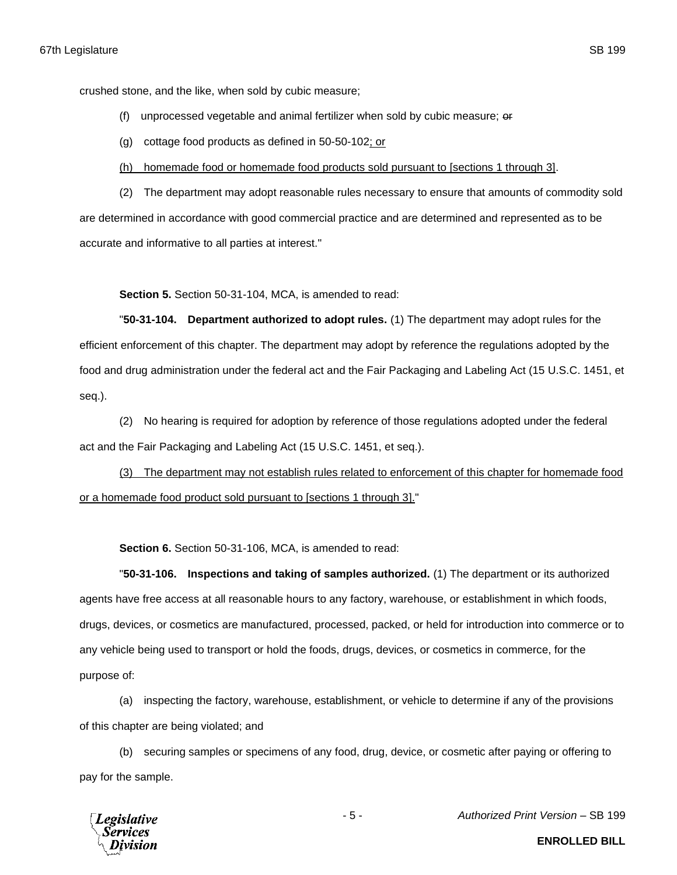crushed stone, and the like, when sold by cubic measure;

- (f) unprocessed vegetable and animal fertilizer when sold by cubic measure;  $\theta$
- (g) cottage food products as defined in 50-50-102; or
- (h) homemade food or homemade food products sold pursuant to [sections 1 through 3].

(2) The department may adopt reasonable rules necessary to ensure that amounts of commodity sold are determined in accordance with good commercial practice and are determined and represented as to be accurate and informative to all parties at interest."

**Section 5.** Section 50-31-104, MCA, is amended to read:

"**50-31-104. Department authorized to adopt rules.** (1) The department may adopt rules for the efficient enforcement of this chapter. The department may adopt by reference the regulations adopted by the food and drug administration under the federal act and the Fair Packaging and Labeling Act (15 U.S.C. 1451, et seq.).

(2) No hearing is required for adoption by reference of those regulations adopted under the federal act and the Fair Packaging and Labeling Act (15 U.S.C. 1451, et seq.).

(3) The department may not establish rules related to enforcement of this chapter for homemade food or a homemade food product sold pursuant to [sections 1 through 3]."

**Section 6.** Section 50-31-106, MCA, is amended to read:

"**50-31-106. Inspections and taking of samples authorized.** (1) The department or its authorized agents have free access at all reasonable hours to any factory, warehouse, or establishment in which foods, drugs, devices, or cosmetics are manufactured, processed, packed, or held for introduction into commerce or to any vehicle being used to transport or hold the foods, drugs, devices, or cosmetics in commerce, for the purpose of:

(a) inspecting the factory, warehouse, establishment, or vehicle to determine if any of the provisions of this chapter are being violated; and

(b) securing samples or specimens of any food, drug, device, or cosmetic after paying or offering to pay for the sample.



- 5 - *Authorized Print Version* – SB 199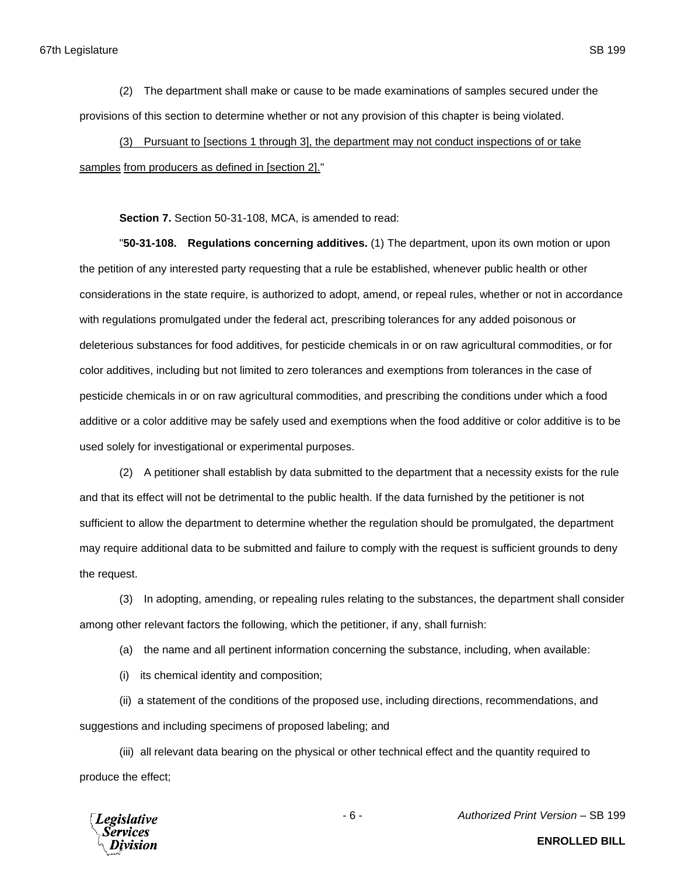(2) The department shall make or cause to be made examinations of samples secured under the provisions of this section to determine whether or not any provision of this chapter is being violated.

(3) Pursuant to [sections 1 through 3], the department may not conduct inspections of or take samples from producers as defined in [section 2]."

**Section 7.** Section 50-31-108, MCA, is amended to read:

"**50-31-108. Regulations concerning additives.** (1) The department, upon its own motion or upon the petition of any interested party requesting that a rule be established, whenever public health or other considerations in the state require, is authorized to adopt, amend, or repeal rules, whether or not in accordance with regulations promulgated under the federal act, prescribing tolerances for any added poisonous or deleterious substances for food additives, for pesticide chemicals in or on raw agricultural commodities, or for color additives, including but not limited to zero tolerances and exemptions from tolerances in the case of pesticide chemicals in or on raw agricultural commodities, and prescribing the conditions under which a food additive or a color additive may be safely used and exemptions when the food additive or color additive is to be used solely for investigational or experimental purposes.

(2) A petitioner shall establish by data submitted to the department that a necessity exists for the rule and that its effect will not be detrimental to the public health. If the data furnished by the petitioner is not sufficient to allow the department to determine whether the regulation should be promulgated, the department may require additional data to be submitted and failure to comply with the request is sufficient grounds to deny the request.

(3) In adopting, amending, or repealing rules relating to the substances, the department shall consider among other relevant factors the following, which the petitioner, if any, shall furnish:

(a) the name and all pertinent information concerning the substance, including, when available:

(i) its chemical identity and composition;

(ii) a statement of the conditions of the proposed use, including directions, recommendations, and suggestions and including specimens of proposed labeling; and

(iii) all relevant data bearing on the physical or other technical effect and the quantity required to produce the effect;



- 6 - *Authorized Print Version* – SB 199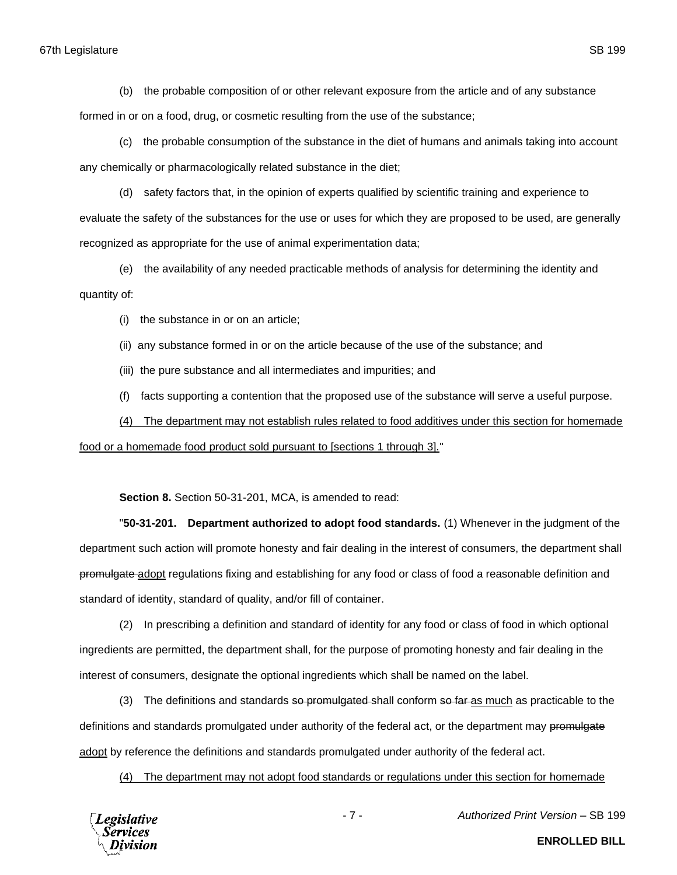## 67th Legislature SB 199

(b) the probable composition of or other relevant exposure from the article and of any substance

formed in or on a food, drug, or cosmetic resulting from the use of the substance;

(c) the probable consumption of the substance in the diet of humans and animals taking into account any chemically or pharmacologically related substance in the diet;

(d) safety factors that, in the opinion of experts qualified by scientific training and experience to evaluate the safety of the substances for the use or uses for which they are proposed to be used, are generally recognized as appropriate for the use of animal experimentation data;

(e) the availability of any needed practicable methods of analysis for determining the identity and quantity of:

(i) the substance in or on an article;

(ii) any substance formed in or on the article because of the use of the substance; and

(iii) the pure substance and all intermediates and impurities; and

(f) facts supporting a contention that the proposed use of the substance will serve a useful purpose.

(4) The department may not establish rules related to food additives under this section for homemade food or a homemade food product sold pursuant to [sections 1 through 3]."

**Section 8.** Section 50-31-201, MCA, is amended to read:

"**50-31-201. Department authorized to adopt food standards.** (1) Whenever in the judgment of the department such action will promote honesty and fair dealing in the interest of consumers, the department shall promulgate adopt regulations fixing and establishing for any food or class of food a reasonable definition and standard of identity, standard of quality, and/or fill of container.

(2) In prescribing a definition and standard of identity for any food or class of food in which optional ingredients are permitted, the department shall, for the purpose of promoting honesty and fair dealing in the interest of consumers, designate the optional ingredients which shall be named on the label.

(3) The definitions and standards so promulgated shall conform so far as much as practicable to the definitions and standards promulgated under authority of the federal act, or the department may promulgate adopt by reference the definitions and standards promulgated under authority of the federal act.

(4) The department may not adopt food standards or regulations under this section for homemade

**Legislative** Services

- 7 - *Authorized Print Version* – SB 199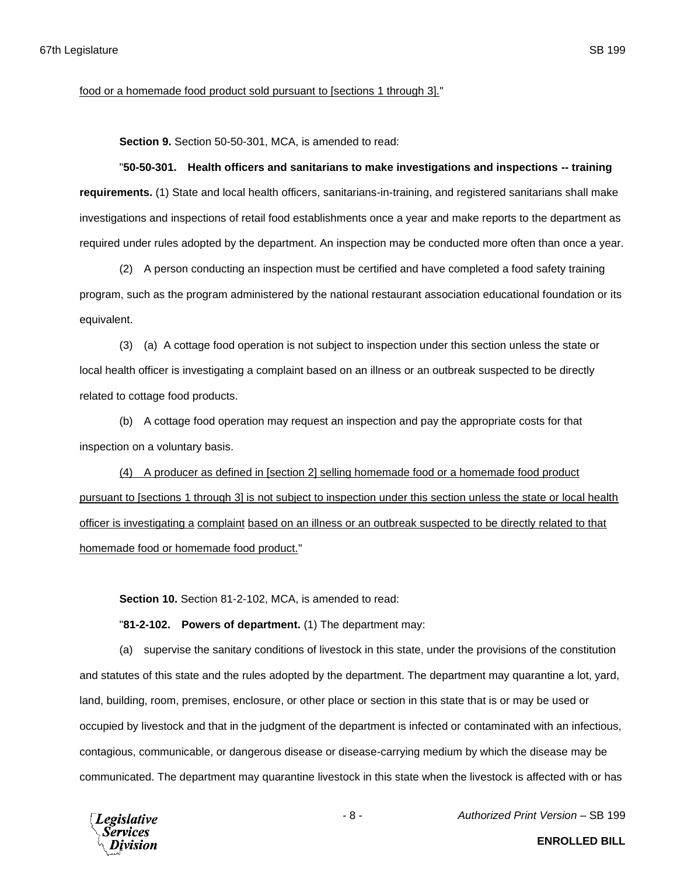food or a homemade food product sold pursuant to [sections 1 through 3]."

**Section 9.** Section 50-50-301, MCA, is amended to read:

## "**50-50-301. Health officers and sanitarians to make investigations and inspections -- training**

**requirements.** (1) State and local health officers, sanitarians-in-training, and registered sanitarians shall make investigations and inspections of retail food establishments once a year and make reports to the department as required under rules adopted by the department. An inspection may be conducted more often than once a year.

(2) A person conducting an inspection must be certified and have completed a food safety training program, such as the program administered by the national restaurant association educational foundation or its equivalent.

(3) (a) A cottage food operation is not subject to inspection under this section unless the state or local health officer is investigating a complaint based on an illness or an outbreak suspected to be directly related to cottage food products.

(b) A cottage food operation may request an inspection and pay the appropriate costs for that inspection on a voluntary basis.

(4) A producer as defined in [section 2] selling homemade food or a homemade food product pursuant to [sections 1 through 3] is not subject to inspection under this section unless the state or local health officer is investigating a complaint based on an illness or an outbreak suspected to be directly related to that homemade food or homemade food product."

**Section 10.** Section 81-2-102, MCA, is amended to read:

"**81-2-102. Powers of department.** (1) The department may:

(a) supervise the sanitary conditions of livestock in this state, under the provisions of the constitution and statutes of this state and the rules adopted by the department. The department may quarantine a lot, yard, land, building, room, premises, enclosure, or other place or section in this state that is or may be used or occupied by livestock and that in the judgment of the department is infected or contaminated with an infectious, contagious, communicable, or dangerous disease or disease-carrying medium by which the disease may be communicated. The department may quarantine livestock in this state when the livestock is affected with or has



- 8 - *Authorized Print Version* – SB 199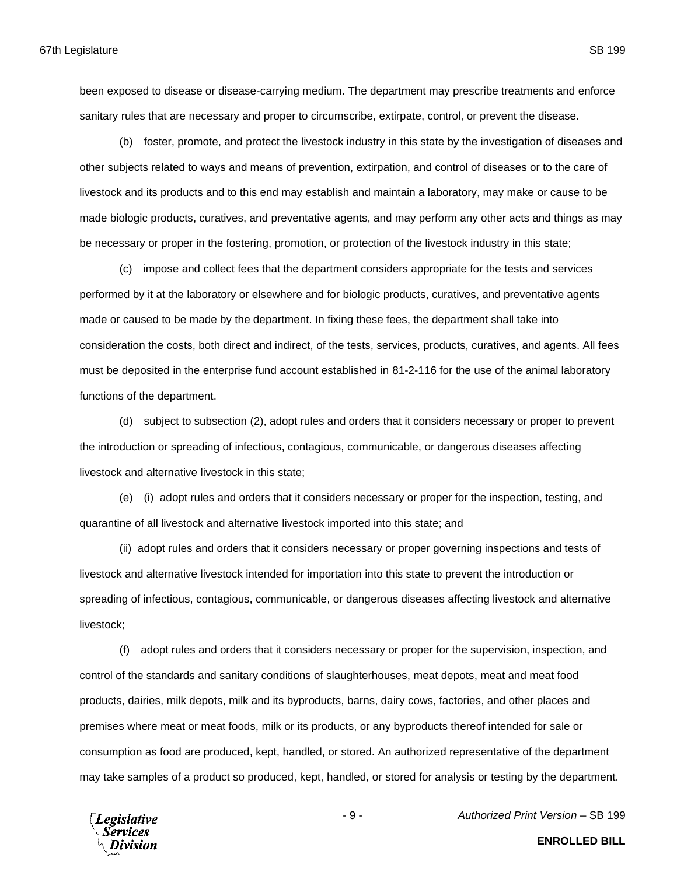been exposed to disease or disease-carrying medium. The department may prescribe treatments and enforce sanitary rules that are necessary and proper to circumscribe, extirpate, control, or prevent the disease.

(b) foster, promote, and protect the livestock industry in this state by the investigation of diseases and other subjects related to ways and means of prevention, extirpation, and control of diseases or to the care of livestock and its products and to this end may establish and maintain a laboratory, may make or cause to be made biologic products, curatives, and preventative agents, and may perform any other acts and things as may be necessary or proper in the fostering, promotion, or protection of the livestock industry in this state;

(c) impose and collect fees that the department considers appropriate for the tests and services performed by it at the laboratory or elsewhere and for biologic products, curatives, and preventative agents made or caused to be made by the department. In fixing these fees, the department shall take into consideration the costs, both direct and indirect, of the tests, services, products, curatives, and agents. All fees must be deposited in the enterprise fund account established in 81-2-116 for the use of the animal laboratory functions of the department.

(d) subject to subsection (2), adopt rules and orders that it considers necessary or proper to prevent the introduction or spreading of infectious, contagious, communicable, or dangerous diseases affecting livestock and alternative livestock in this state;

(e) (i) adopt rules and orders that it considers necessary or proper for the inspection, testing, and quarantine of all livestock and alternative livestock imported into this state; and

(ii) adopt rules and orders that it considers necessary or proper governing inspections and tests of livestock and alternative livestock intended for importation into this state to prevent the introduction or spreading of infectious, contagious, communicable, or dangerous diseases affecting livestock and alternative livestock;

(f) adopt rules and orders that it considers necessary or proper for the supervision, inspection, and control of the standards and sanitary conditions of slaughterhouses, meat depots, meat and meat food products, dairies, milk depots, milk and its byproducts, barns, dairy cows, factories, and other places and premises where meat or meat foods, milk or its products, or any byproducts thereof intended for sale or consumption as food are produced, kept, handled, or stored. An authorized representative of the department may take samples of a product so produced, kept, handled, or stored for analysis or testing by the department.

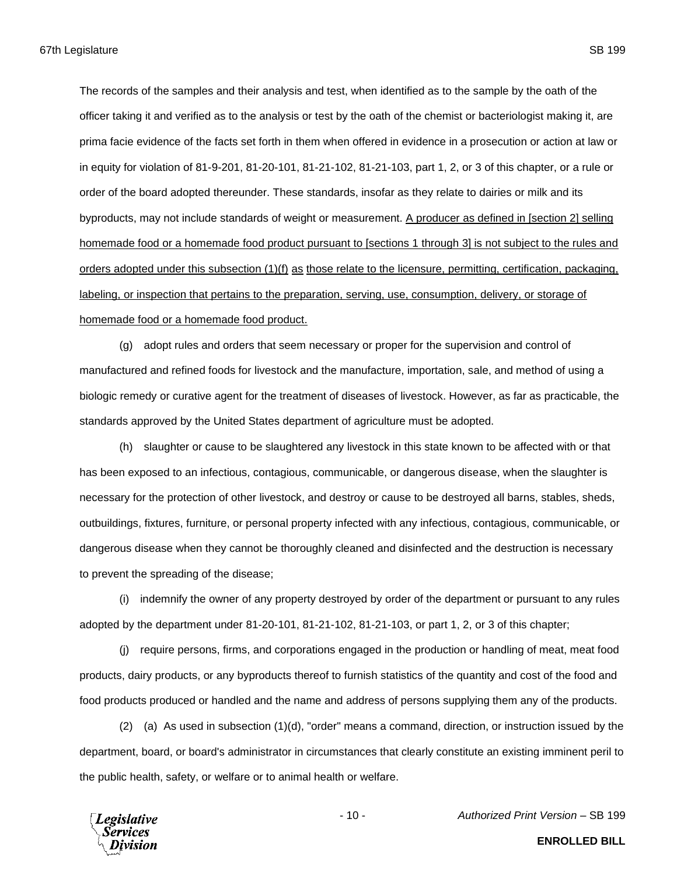67th Legislature SB 199

The records of the samples and their analysis and test, when identified as to the sample by the oath of the officer taking it and verified as to the analysis or test by the oath of the chemist or bacteriologist making it, are prima facie evidence of the facts set forth in them when offered in evidence in a prosecution or action at law or in equity for violation of 81-9-201, 81-20-101, 81-21-102, 81-21-103, part 1, 2, or 3 of this chapter, or a rule or order of the board adopted thereunder. These standards, insofar as they relate to dairies or milk and its byproducts, may not include standards of weight or measurement. A producer as defined in [section 2] selling homemade food or a homemade food product pursuant to [sections 1 through 3] is not subject to the rules and orders adopted under this subsection (1)(f) as those relate to the licensure, permitting, certification, packaging, labeling, or inspection that pertains to the preparation, serving, use, consumption, delivery, or storage of homemade food or a homemade food product.

(g) adopt rules and orders that seem necessary or proper for the supervision and control of manufactured and refined foods for livestock and the manufacture, importation, sale, and method of using a biologic remedy or curative agent for the treatment of diseases of livestock. However, as far as practicable, the standards approved by the United States department of agriculture must be adopted.

(h) slaughter or cause to be slaughtered any livestock in this state known to be affected with or that has been exposed to an infectious, contagious, communicable, or dangerous disease, when the slaughter is necessary for the protection of other livestock, and destroy or cause to be destroyed all barns, stables, sheds, outbuildings, fixtures, furniture, or personal property infected with any infectious, contagious, communicable, or dangerous disease when they cannot be thoroughly cleaned and disinfected and the destruction is necessary to prevent the spreading of the disease;

(i) indemnify the owner of any property destroyed by order of the department or pursuant to any rules adopted by the department under 81-20-101, 81-21-102, 81-21-103, or part 1, 2, or 3 of this chapter;

(j) require persons, firms, and corporations engaged in the production or handling of meat, meat food products, dairy products, or any byproducts thereof to furnish statistics of the quantity and cost of the food and food products produced or handled and the name and address of persons supplying them any of the products.

(2) (a) As used in subsection (1)(d), "order" means a command, direction, or instruction issued by the department, board, or board's administrator in circumstances that clearly constitute an existing imminent peril to the public health, safety, or welfare or to animal health or welfare.

**Legislative** 'ervices

- 10 - *Authorized Print Version* – SB 199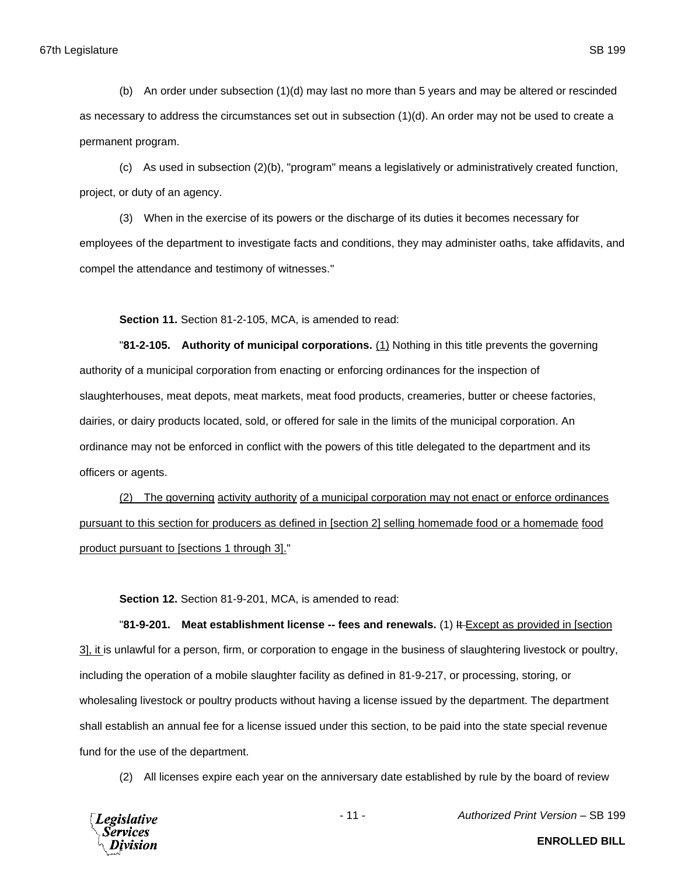(b) An order under subsection (1)(d) may last no more than 5 years and may be altered or rescinded as necessary to address the circumstances set out in subsection (1)(d). An order may not be used to create a permanent program.

(c) As used in subsection (2)(b), "program" means a legislatively or administratively created function, project, or duty of an agency.

(3) When in the exercise of its powers or the discharge of its duties it becomes necessary for employees of the department to investigate facts and conditions, they may administer oaths, take affidavits, and compel the attendance and testimony of witnesses."

**Section 11.** Section 81-2-105, MCA, is amended to read:

"**81-2-105. Authority of municipal corporations.** (1) Nothing in this title prevents the governing authority of a municipal corporation from enacting or enforcing ordinances for the inspection of slaughterhouses, meat depots, meat markets, meat food products, creameries, butter or cheese factories, dairies, or dairy products located, sold, or offered for sale in the limits of the municipal corporation. An ordinance may not be enforced in conflict with the powers of this title delegated to the department and its officers or agents.

(2) The governing activity authority of a municipal corporation may not enact or enforce ordinances pursuant to this section for producers as defined in [section 2] selling homemade food or a homemade food product pursuant to [sections 1 through 3]."

**Section 12.** Section 81-9-201, MCA, is amended to read:

"**81-9-201. Meat establishment license -- fees and renewals.** (1) It Except as provided in [section 3], it is unlawful for a person, firm, or corporation to engage in the business of slaughtering livestock or poultry, including the operation of a mobile slaughter facility as defined in 81-9-217, or processing, storing, or wholesaling livestock or poultry products without having a license issued by the department. The department shall establish an annual fee for a license issued under this section, to be paid into the state special revenue fund for the use of the department.

(2) All licenses expire each year on the anniversary date established by rule by the board of review



- 11 - *Authorized Print Version* – SB 199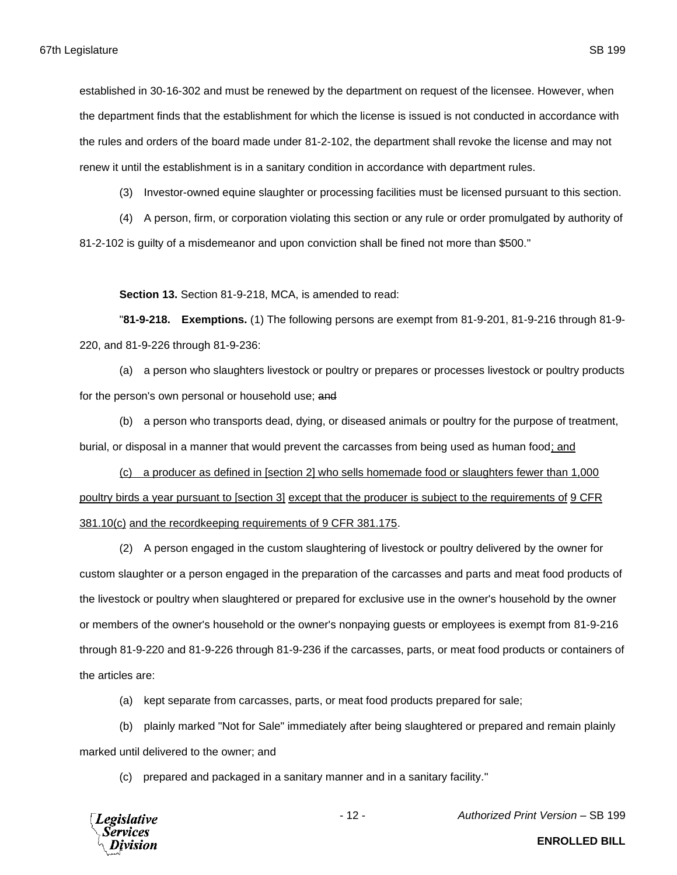established in 30-16-302 and must be renewed by the department on request of the licensee. However, when the department finds that the establishment for which the license is issued is not conducted in accordance with the rules and orders of the board made under 81-2-102, the department shall revoke the license and may not renew it until the establishment is in a sanitary condition in accordance with department rules.

(3) Investor-owned equine slaughter or processing facilities must be licensed pursuant to this section.

(4) A person, firm, or corporation violating this section or any rule or order promulgated by authority of 81-2-102 is guilty of a misdemeanor and upon conviction shall be fined not more than \$500."

**Section 13.** Section 81-9-218, MCA, is amended to read:

"**81-9-218. Exemptions.** (1) The following persons are exempt from 81-9-201, 81-9-216 through 81-9- 220, and 81-9-226 through 81-9-236:

(a) a person who slaughters livestock or poultry or prepares or processes livestock or poultry products for the person's own personal or household use; and

(b) a person who transports dead, dying, or diseased animals or poultry for the purpose of treatment, burial, or disposal in a manner that would prevent the carcasses from being used as human food; and

(c) a producer as defined in [section 2] who sells homemade food or slaughters fewer than 1,000 poultry birds a year pursuant to [section 3] except that the producer is subject to the requirements of 9 CFR 381.10(c) and the recordkeeping requirements of 9 CFR 381.175.

(2) A person engaged in the custom slaughtering of livestock or poultry delivered by the owner for custom slaughter or a person engaged in the preparation of the carcasses and parts and meat food products of the livestock or poultry when slaughtered or prepared for exclusive use in the owner's household by the owner or members of the owner's household or the owner's nonpaying guests or employees is exempt from 81-9-216 through 81-9-220 and 81-9-226 through 81-9-236 if the carcasses, parts, or meat food products or containers of the articles are:

(a) kept separate from carcasses, parts, or meat food products prepared for sale;

(b) plainly marked "Not for Sale" immediately after being slaughtered or prepared and remain plainly marked until delivered to the owner; and

(c) prepared and packaged in a sanitary manner and in a sanitary facility."



- 12 - *Authorized Print Version* – SB 199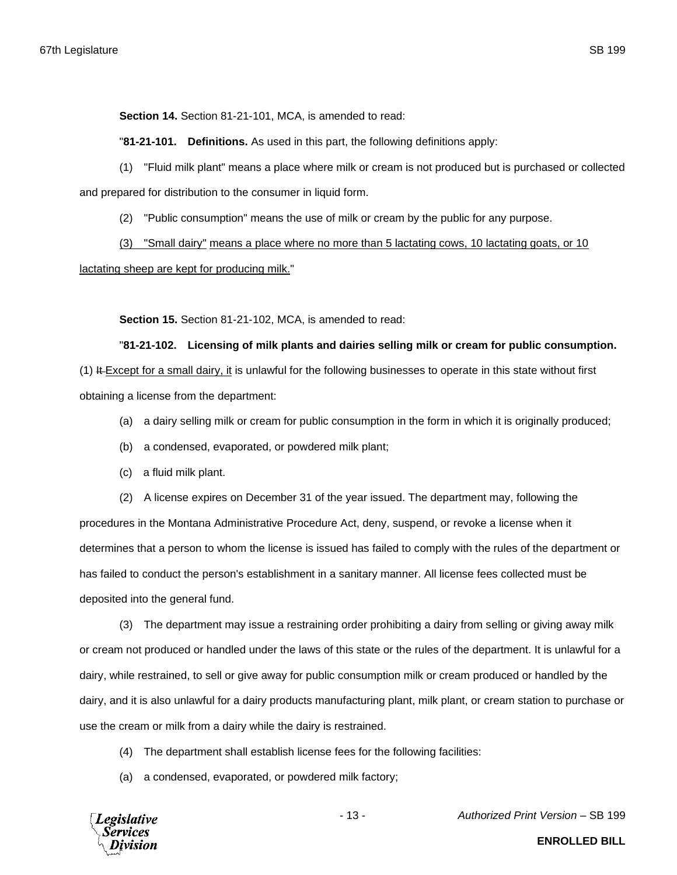**Section 14.** Section 81-21-101, MCA, is amended to read:

"**81-21-101. Definitions.** As used in this part, the following definitions apply:

(1) "Fluid milk plant" means a place where milk or cream is not produced but is purchased or collected and prepared for distribution to the consumer in liquid form.

(2) "Public consumption" means the use of milk or cream by the public for any purpose.

(3) "Small dairy" means a place where no more than 5 lactating cows, 10 lactating goats, or 10

lactating sheep are kept for producing milk."

**Section 15.** Section 81-21-102, MCA, is amended to read:

"**81-21-102. Licensing of milk plants and dairies selling milk or cream for public consumption.**

(1) It Except for a small dairy, it is unlawful for the following businesses to operate in this state without first obtaining a license from the department:

- (a) a dairy selling milk or cream for public consumption in the form in which it is originally produced;
- (b) a condensed, evaporated, or powdered milk plant;
- (c) a fluid milk plant.

(2) A license expires on December 31 of the year issued. The department may, following the

procedures in the Montana Administrative Procedure Act, deny, suspend, or revoke a license when it determines that a person to whom the license is issued has failed to comply with the rules of the department or has failed to conduct the person's establishment in a sanitary manner. All license fees collected must be deposited into the general fund.

(3) The department may issue a restraining order prohibiting a dairy from selling or giving away milk or cream not produced or handled under the laws of this state or the rules of the department. It is unlawful for a dairy, while restrained, to sell or give away for public consumption milk or cream produced or handled by the dairy, and it is also unlawful for a dairy products manufacturing plant, milk plant, or cream station to purchase or use the cream or milk from a dairy while the dairy is restrained.

- (4) The department shall establish license fees for the following facilities:
- (a) a condensed, evaporated, or powdered milk factory;

**Legislative** Services

- 13 - *Authorized Print Version* – SB 199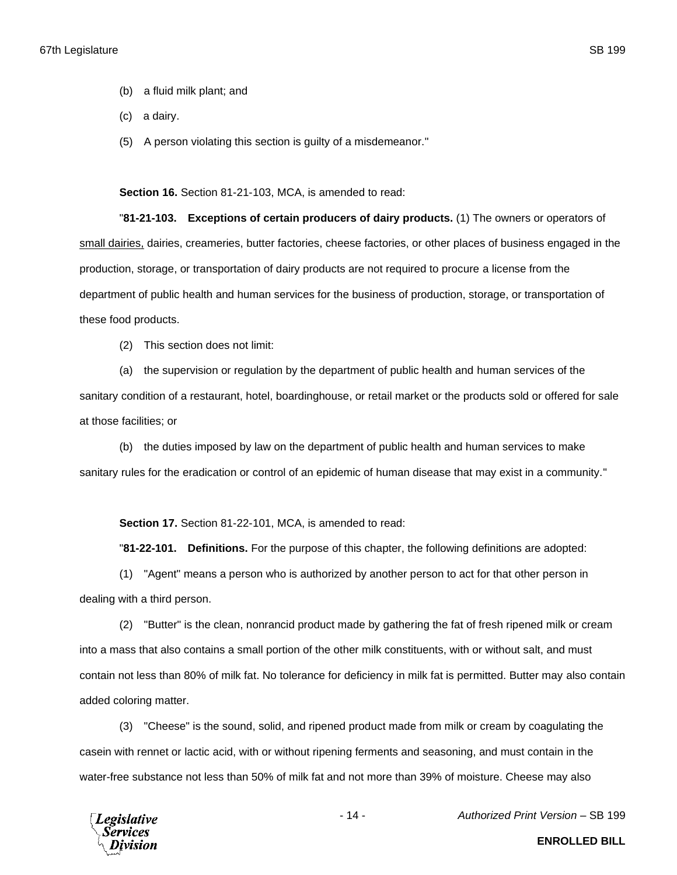- (b) a fluid milk plant; and
- (c) a dairy.
- (5) A person violating this section is guilty of a misdemeanor."

**Section 16.** Section 81-21-103, MCA, is amended to read:

"**81-21-103. Exceptions of certain producers of dairy products.** (1) The owners or operators of small dairies, dairies, creameries, butter factories, cheese factories, or other places of business engaged in the production, storage, or transportation of dairy products are not required to procure a license from the department of public health and human services for the business of production, storage, or transportation of these food products.

(2) This section does not limit:

(a) the supervision or regulation by the department of public health and human services of the sanitary condition of a restaurant, hotel, boardinghouse, or retail market or the products sold or offered for sale at those facilities; or

(b) the duties imposed by law on the department of public health and human services to make sanitary rules for the eradication or control of an epidemic of human disease that may exist in a community."

**Section 17.** Section 81-22-101, MCA, is amended to read:

"**81-22-101. Definitions.** For the purpose of this chapter, the following definitions are adopted:

(1) "Agent" means a person who is authorized by another person to act for that other person in dealing with a third person.

(2) "Butter" is the clean, nonrancid product made by gathering the fat of fresh ripened milk or cream into a mass that also contains a small portion of the other milk constituents, with or without salt, and must contain not less than 80% of milk fat. No tolerance for deficiency in milk fat is permitted. Butter may also contain added coloring matter.

(3) "Cheese" is the sound, solid, and ripened product made from milk or cream by coagulating the casein with rennet or lactic acid, with or without ripening ferments and seasoning, and must contain in the water-free substance not less than 50% of milk fat and not more than 39% of moisture. Cheese may also



- 14 - *Authorized Print Version* – SB 199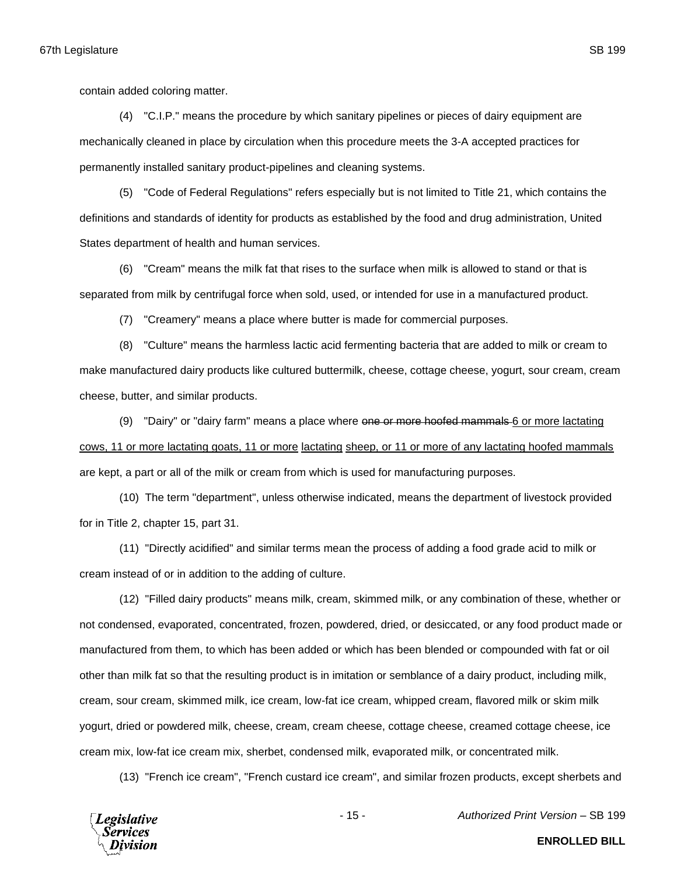(4) "C.I.P." means the procedure by which sanitary pipelines or pieces of dairy equipment are mechanically cleaned in place by circulation when this procedure meets the 3-A accepted practices for permanently installed sanitary product-pipelines and cleaning systems.

(5) "Code of Federal Regulations" refers especially but is not limited to Title 21, which contains the definitions and standards of identity for products as established by the food and drug administration, United States department of health and human services.

(6) "Cream" means the milk fat that rises to the surface when milk is allowed to stand or that is separated from milk by centrifugal force when sold, used, or intended for use in a manufactured product.

(7) "Creamery" means a place where butter is made for commercial purposes.

(8) "Culture" means the harmless lactic acid fermenting bacteria that are added to milk or cream to make manufactured dairy products like cultured buttermilk, cheese, cottage cheese, yogurt, sour cream, cream cheese, butter, and similar products.

(9) "Dairy" or "dairy farm" means a place where one or more hoofed mammals 6 or more lactating cows, 11 or more lactating goats, 11 or more lactating sheep, or 11 or more of any lactating hoofed mammals are kept, a part or all of the milk or cream from which is used for manufacturing purposes.

(10) The term "department", unless otherwise indicated, means the department of livestock provided for in Title 2, chapter 15, part 31.

(11) "Directly acidified" and similar terms mean the process of adding a food grade acid to milk or cream instead of or in addition to the adding of culture.

(12) "Filled dairy products" means milk, cream, skimmed milk, or any combination of these, whether or not condensed, evaporated, concentrated, frozen, powdered, dried, or desiccated, or any food product made or manufactured from them, to which has been added or which has been blended or compounded with fat or oil other than milk fat so that the resulting product is in imitation or semblance of a dairy product, including milk, cream, sour cream, skimmed milk, ice cream, low-fat ice cream, whipped cream, flavored milk or skim milk yogurt, dried or powdered milk, cheese, cream, cream cheese, cottage cheese, creamed cottage cheese, ice cream mix, low-fat ice cream mix, sherbet, condensed milk, evaporated milk, or concentrated milk.

(13) "French ice cream", "French custard ice cream", and similar frozen products, except sherbets and



- 15 - *Authorized Print Version* – SB 199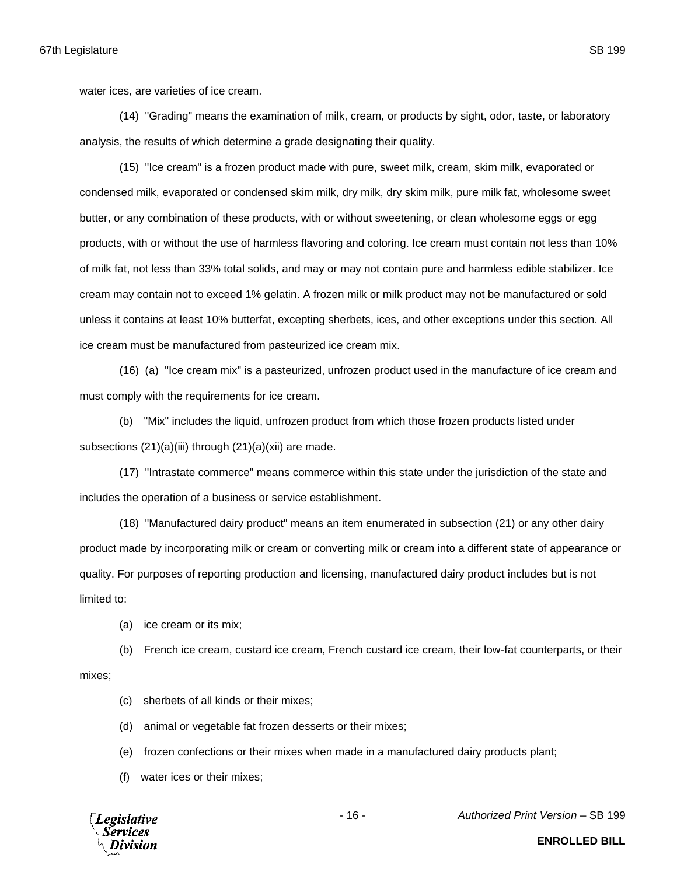water ices, are varieties of ice cream.

(14) "Grading" means the examination of milk, cream, or products by sight, odor, taste, or laboratory analysis, the results of which determine a grade designating their quality.

(15) "Ice cream" is a frozen product made with pure, sweet milk, cream, skim milk, evaporated or condensed milk, evaporated or condensed skim milk, dry milk, dry skim milk, pure milk fat, wholesome sweet butter, or any combination of these products, with or without sweetening, or clean wholesome eggs or egg products, with or without the use of harmless flavoring and coloring. Ice cream must contain not less than 10% of milk fat, not less than 33% total solids, and may or may not contain pure and harmless edible stabilizer. Ice cream may contain not to exceed 1% gelatin. A frozen milk or milk product may not be manufactured or sold unless it contains at least 10% butterfat, excepting sherbets, ices, and other exceptions under this section. All ice cream must be manufactured from pasteurized ice cream mix.

(16) (a) "Ice cream mix" is a pasteurized, unfrozen product used in the manufacture of ice cream and must comply with the requirements for ice cream.

(b) "Mix" includes the liquid, unfrozen product from which those frozen products listed under subsections (21)(a)(iii) through (21)(a)(xii) are made.

(17) "Intrastate commerce" means commerce within this state under the jurisdiction of the state and includes the operation of a business or service establishment.

(18) "Manufactured dairy product" means an item enumerated in subsection (21) or any other dairy product made by incorporating milk or cream or converting milk or cream into a different state of appearance or quality. For purposes of reporting production and licensing, manufactured dairy product includes but is not limited to:

(a) ice cream or its mix;

(b) French ice cream, custard ice cream, French custard ice cream, their low-fat counterparts, or their mixes;

(c) sherbets of all kinds or their mixes;

(d) animal or vegetable fat frozen desserts or their mixes;

(e) frozen confections or their mixes when made in a manufactured dairy products plant;

(f) water ices or their mixes;



- 16 - *Authorized Print Version* – SB 199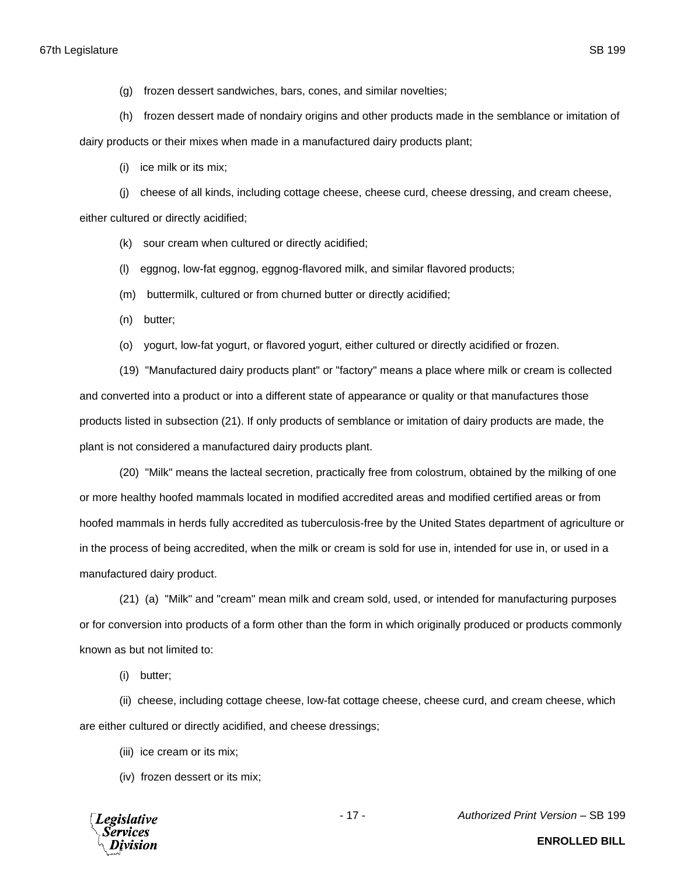- (g) frozen dessert sandwiches, bars, cones, and similar novelties;
- (h) frozen dessert made of nondairy origins and other products made in the semblance or imitation of

dairy products or their mixes when made in a manufactured dairy products plant;

(i) ice milk or its mix;

(j) cheese of all kinds, including cottage cheese, cheese curd, cheese dressing, and cream cheese, either cultured or directly acidified;

- (k) sour cream when cultured or directly acidified;
- (l) eggnog, low-fat eggnog, eggnog-flavored milk, and similar flavored products;
- (m) buttermilk, cultured or from churned butter or directly acidified;
- (n) butter;
- (o) yogurt, low-fat yogurt, or flavored yogurt, either cultured or directly acidified or frozen.

(19) "Manufactured dairy products plant" or "factory" means a place where milk or cream is collected and converted into a product or into a different state of appearance or quality or that manufactures those products listed in subsection (21). If only products of semblance or imitation of dairy products are made, the plant is not considered a manufactured dairy products plant.

(20) "Milk" means the lacteal secretion, practically free from colostrum, obtained by the milking of one or more healthy hoofed mammals located in modified accredited areas and modified certified areas or from hoofed mammals in herds fully accredited as tuberculosis-free by the United States department of agriculture or in the process of being accredited, when the milk or cream is sold for use in, intended for use in, or used in a manufactured dairy product.

(21) (a) "Milk" and "cream" mean milk and cream sold, used, or intended for manufacturing purposes or for conversion into products of a form other than the form in which originally produced or products commonly known as but not limited to:

(i) butter;

(ii) cheese, including cottage cheese, low-fat cottage cheese, cheese curd, and cream cheese, which are either cultured or directly acidified, and cheese dressings;

- (iii) ice cream or its mix;
- (iv) frozen dessert or its mix;



- 17 - *Authorized Print Version* – SB 199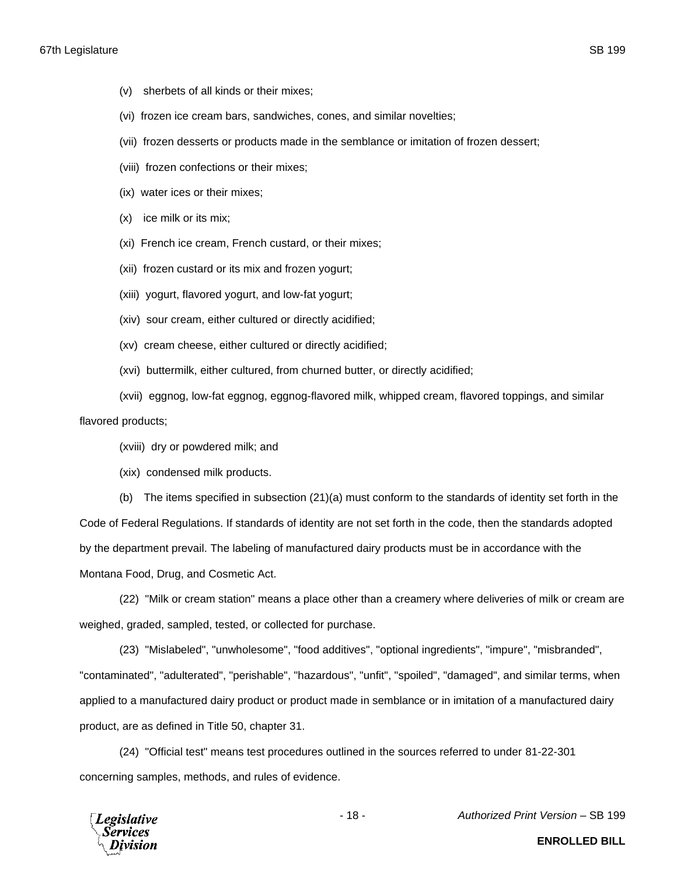- (v) sherbets of all kinds or their mixes;
- (vi) frozen ice cream bars, sandwiches, cones, and similar novelties;
- (vii) frozen desserts or products made in the semblance or imitation of frozen dessert;
- (viii) frozen confections or their mixes;
- (ix) water ices or their mixes;
- (x) ice milk or its mix;
- (xi) French ice cream, French custard, or their mixes;
- (xii) frozen custard or its mix and frozen yogurt;
- (xiii) yogurt, flavored yogurt, and low-fat yogurt;
- (xiv) sour cream, either cultured or directly acidified;
- (xv) cream cheese, either cultured or directly acidified;
- (xvi) buttermilk, either cultured, from churned butter, or directly acidified;
- (xvii) eggnog, low-fat eggnog, eggnog-flavored milk, whipped cream, flavored toppings, and similar flavored products;
	- (xviii) dry or powdered milk; and
	- (xix) condensed milk products.

(b) The items specified in subsection (21)(a) must conform to the standards of identity set forth in the Code of Federal Regulations. If standards of identity are not set forth in the code, then the standards adopted by the department prevail. The labeling of manufactured dairy products must be in accordance with the Montana Food, Drug, and Cosmetic Act.

(22) "Milk or cream station" means a place other than a creamery where deliveries of milk or cream are weighed, graded, sampled, tested, or collected for purchase.

(23) "Mislabeled", "unwholesome", "food additives", "optional ingredients", "impure", "misbranded", "contaminated", "adulterated", "perishable", "hazardous", "unfit", "spoiled", "damaged", and similar terms, when applied to a manufactured dairy product or product made in semblance or in imitation of a manufactured dairy product, are as defined in Title 50, chapter 31.

(24) "Official test" means test procedures outlined in the sources referred to under 81-22-301 concerning samples, methods, and rules of evidence.



- 18 - *Authorized Print Version* – SB 199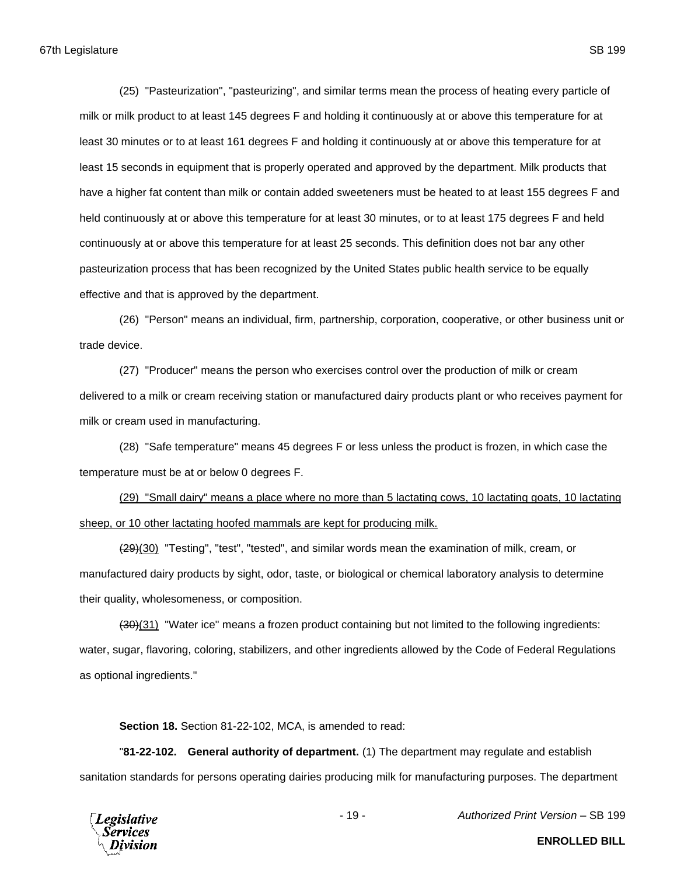(25) "Pasteurization", "pasteurizing", and similar terms mean the process of heating every particle of milk or milk product to at least 145 degrees F and holding it continuously at or above this temperature for at least 30 minutes or to at least 161 degrees F and holding it continuously at or above this temperature for at least 15 seconds in equipment that is properly operated and approved by the department. Milk products that have a higher fat content than milk or contain added sweeteners must be heated to at least 155 degrees F and held continuously at or above this temperature for at least 30 minutes, or to at least 175 degrees F and held continuously at or above this temperature for at least 25 seconds. This definition does not bar any other pasteurization process that has been recognized by the United States public health service to be equally effective and that is approved by the department.

(26) "Person" means an individual, firm, partnership, corporation, cooperative, or other business unit or trade device.

(27) "Producer" means the person who exercises control over the production of milk or cream delivered to a milk or cream receiving station or manufactured dairy products plant or who receives payment for milk or cream used in manufacturing.

(28) "Safe temperature" means 45 degrees F or less unless the product is frozen, in which case the temperature must be at or below 0 degrees F.

(29) "Small dairy" means a place where no more than 5 lactating cows, 10 lactating goats, 10 lactating sheep, or 10 other lactating hoofed mammals are kept for producing milk.

(29)(30) "Testing", "test", "tested", and similar words mean the examination of milk, cream, or manufactured dairy products by sight, odor, taste, or biological or chemical laboratory analysis to determine their quality, wholesomeness, or composition.

(30)(31) "Water ice" means a frozen product containing but not limited to the following ingredients: water, sugar, flavoring, coloring, stabilizers, and other ingredients allowed by the Code of Federal Regulations as optional ingredients."

**Section 18.** Section 81-22-102, MCA, is amended to read:

"**81-22-102. General authority of department.** (1) The department may regulate and establish sanitation standards for persons operating dairies producing milk for manufacturing purposes. The department



- 19 - *Authorized Print Version* – SB 199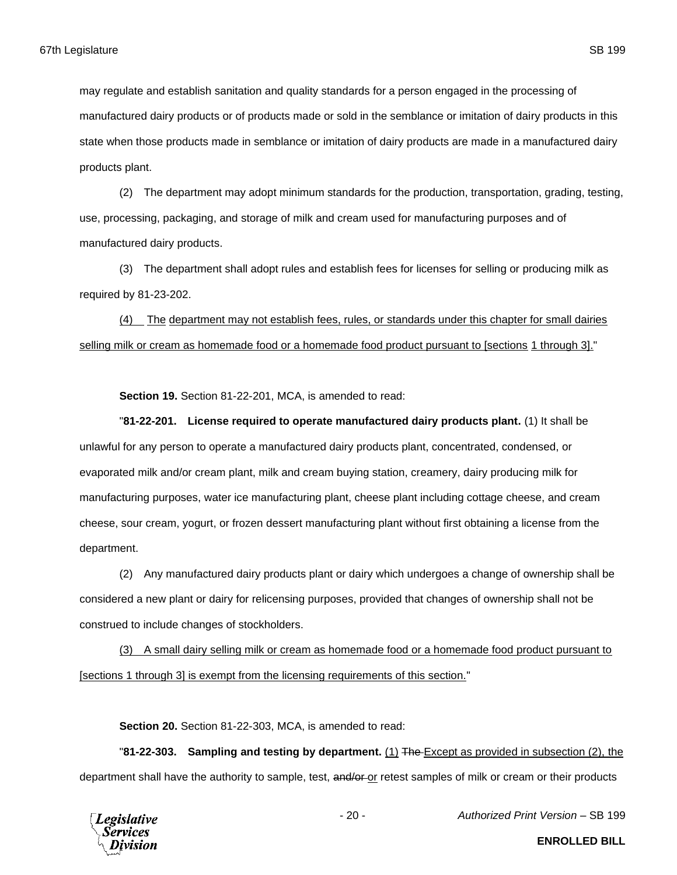may regulate and establish sanitation and quality standards for a person engaged in the processing of

manufactured dairy products or of products made or sold in the semblance or imitation of dairy products in this state when those products made in semblance or imitation of dairy products are made in a manufactured dairy products plant.

(2) The department may adopt minimum standards for the production, transportation, grading, testing, use, processing, packaging, and storage of milk and cream used for manufacturing purposes and of manufactured dairy products.

(3) The department shall adopt rules and establish fees for licenses for selling or producing milk as required by 81-23-202.

(4) The department may not establish fees, rules, or standards under this chapter for small dairies selling milk or cream as homemade food or a homemade food product pursuant to [sections 1 through 3]."

**Section 19.** Section 81-22-201, MCA, is amended to read:

"**81-22-201. License required to operate manufactured dairy products plant.** (1) It shall be unlawful for any person to operate a manufactured dairy products plant, concentrated, condensed, or evaporated milk and/or cream plant, milk and cream buying station, creamery, dairy producing milk for manufacturing purposes, water ice manufacturing plant, cheese plant including cottage cheese, and cream cheese, sour cream, yogurt, or frozen dessert manufacturing plant without first obtaining a license from the department.

(2) Any manufactured dairy products plant or dairy which undergoes a change of ownership shall be considered a new plant or dairy for relicensing purposes, provided that changes of ownership shall not be construed to include changes of stockholders.

(3) A small dairy selling milk or cream as homemade food or a homemade food product pursuant to [sections 1 through 3] is exempt from the licensing requirements of this section."

**Section 20.** Section 81-22-303, MCA, is amended to read:

"**81-22-303. Sampling and testing by department.** (1) The Except as provided in subsection (2), the department shall have the authority to sample, test, and/or or retest samples of milk or cream or their products

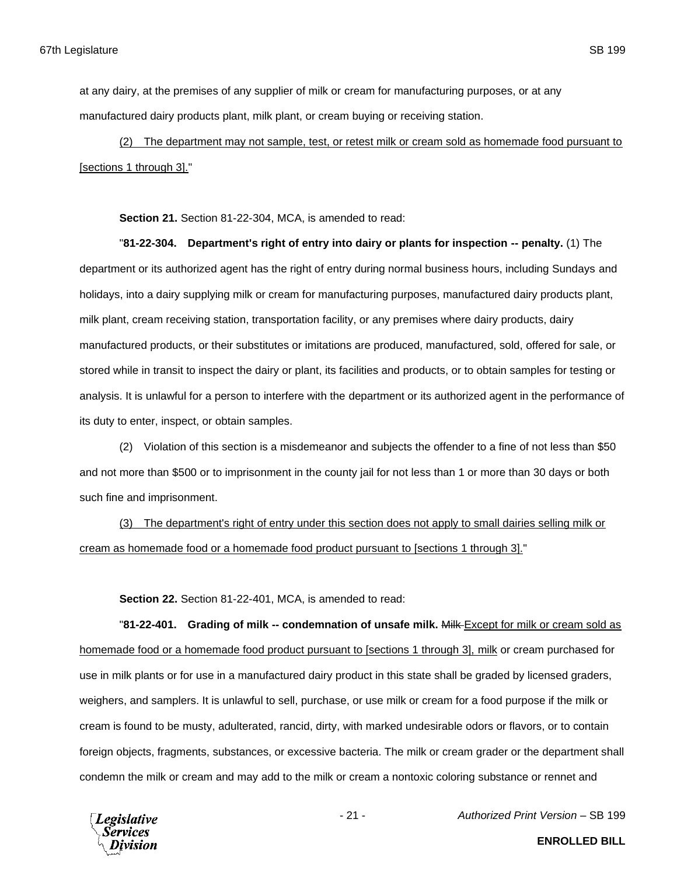at any dairy, at the premises of any supplier of milk or cream for manufacturing purposes, or at any manufactured dairy products plant, milk plant, or cream buying or receiving station.

(2) The department may not sample, test, or retest milk or cream sold as homemade food pursuant to [sections 1 through 3]."

**Section 21.** Section 81-22-304, MCA, is amended to read:

"**81-22-304. Department's right of entry into dairy or plants for inspection -- penalty.** (1) The department or its authorized agent has the right of entry during normal business hours, including Sundays and holidays, into a dairy supplying milk or cream for manufacturing purposes, manufactured dairy products plant, milk plant, cream receiving station, transportation facility, or any premises where dairy products, dairy manufactured products, or their substitutes or imitations are produced, manufactured, sold, offered for sale, or stored while in transit to inspect the dairy or plant, its facilities and products, or to obtain samples for testing or analysis. It is unlawful for a person to interfere with the department or its authorized agent in the performance of its duty to enter, inspect, or obtain samples.

(2) Violation of this section is a misdemeanor and subjects the offender to a fine of not less than \$50 and not more than \$500 or to imprisonment in the county jail for not less than 1 or more than 30 days or both such fine and imprisonment.

(3) The department's right of entry under this section does not apply to small dairies selling milk or cream as homemade food or a homemade food product pursuant to [sections 1 through 3]."

**Section 22.** Section 81-22-401, MCA, is amended to read:

"**81-22-401. Grading of milk -- condemnation of unsafe milk.** Milk Except for milk or cream sold as homemade food or a homemade food product pursuant to [sections 1 through 3], milk or cream purchased for use in milk plants or for use in a manufactured dairy product in this state shall be graded by licensed graders, weighers, and samplers. It is unlawful to sell, purchase, or use milk or cream for a food purpose if the milk or cream is found to be musty, adulterated, rancid, dirty, with marked undesirable odors or flavors, or to contain foreign objects, fragments, substances, or excessive bacteria. The milk or cream grader or the department shall condemn the milk or cream and may add to the milk or cream a nontoxic coloring substance or rennet and



- 21 - *Authorized Print Version* – SB 199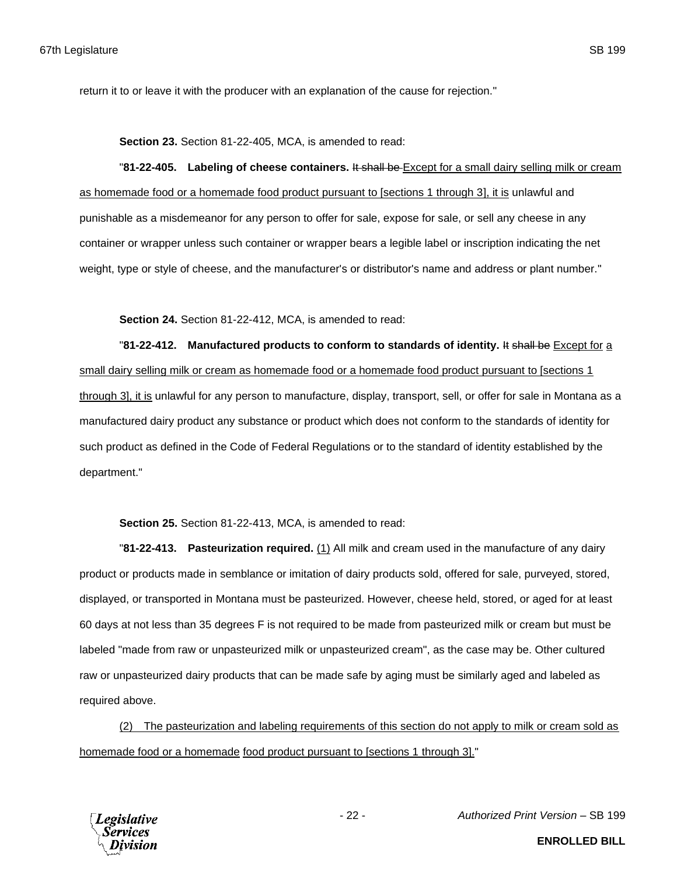return it to or leave it with the producer with an explanation of the cause for rejection."

**Section 23.** Section 81-22-405, MCA, is amended to read:

"**81-22-405. Labeling of cheese containers.** It shall be Except for a small dairy selling milk or cream as homemade food or a homemade food product pursuant to [sections 1 through 3], it is unlawful and punishable as a misdemeanor for any person to offer for sale, expose for sale, or sell any cheese in any container or wrapper unless such container or wrapper bears a legible label or inscription indicating the net weight, type or style of cheese, and the manufacturer's or distributor's name and address or plant number."

**Section 24.** Section 81-22-412, MCA, is amended to read:

"**81-22-412. Manufactured products to conform to standards of identity.** It shall be Except for a small dairy selling milk or cream as homemade food or a homemade food product pursuant to [sections 1 through 3], it is unlawful for any person to manufacture, display, transport, sell, or offer for sale in Montana as a manufactured dairy product any substance or product which does not conform to the standards of identity for such product as defined in the Code of Federal Regulations or to the standard of identity established by the department."

**Section 25.** Section 81-22-413, MCA, is amended to read:

"**81-22-413. Pasteurization required.** (1) All milk and cream used in the manufacture of any dairy product or products made in semblance or imitation of dairy products sold, offered for sale, purveyed, stored, displayed, or transported in Montana must be pasteurized. However, cheese held, stored, or aged for at least 60 days at not less than 35 degrees F is not required to be made from pasteurized milk or cream but must be labeled "made from raw or unpasteurized milk or unpasteurized cream", as the case may be. Other cultured raw or unpasteurized dairy products that can be made safe by aging must be similarly aged and labeled as required above.

(2) The pasteurization and labeling requirements of this section do not apply to milk or cream sold as homemade food or a homemade food product pursuant to [sections 1 through 3]."

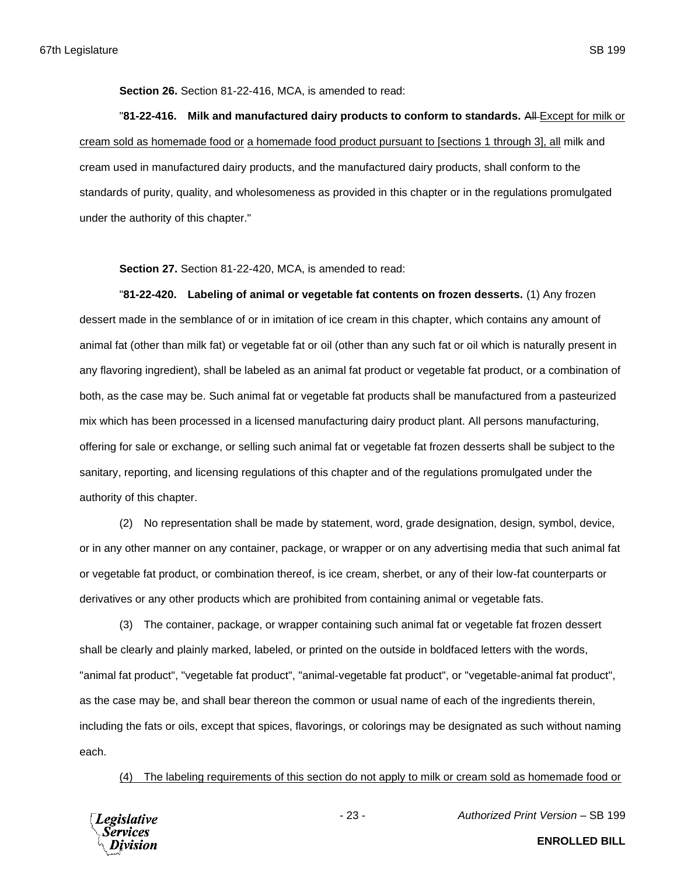**Section 26.** Section 81-22-416, MCA, is amended to read:

"**81-22-416. Milk and manufactured dairy products to conform to standards.** All Except for milk or cream sold as homemade food or a homemade food product pursuant to [sections 1 through 3], all milk and cream used in manufactured dairy products, and the manufactured dairy products, shall conform to the standards of purity, quality, and wholesomeness as provided in this chapter or in the regulations promulgated under the authority of this chapter."

**Section 27.** Section 81-22-420, MCA, is amended to read:

"**81-22-420. Labeling of animal or vegetable fat contents on frozen desserts.** (1) Any frozen dessert made in the semblance of or in imitation of ice cream in this chapter, which contains any amount of animal fat (other than milk fat) or vegetable fat or oil (other than any such fat or oil which is naturally present in any flavoring ingredient), shall be labeled as an animal fat product or vegetable fat product, or a combination of both, as the case may be. Such animal fat or vegetable fat products shall be manufactured from a pasteurized mix which has been processed in a licensed manufacturing dairy product plant. All persons manufacturing, offering for sale or exchange, or selling such animal fat or vegetable fat frozen desserts shall be subject to the sanitary, reporting, and licensing regulations of this chapter and of the regulations promulgated under the authority of this chapter.

(2) No representation shall be made by statement, word, grade designation, design, symbol, device, or in any other manner on any container, package, or wrapper or on any advertising media that such animal fat or vegetable fat product, or combination thereof, is ice cream, sherbet, or any of their low-fat counterparts or derivatives or any other products which are prohibited from containing animal or vegetable fats.

(3) The container, package, or wrapper containing such animal fat or vegetable fat frozen dessert shall be clearly and plainly marked, labeled, or printed on the outside in boldfaced letters with the words, "animal fat product", "vegetable fat product", "animal-vegetable fat product", or "vegetable-animal fat product", as the case may be, and shall bear thereon the common or usual name of each of the ingredients therein, including the fats or oils, except that spices, flavorings, or colorings may be designated as such without naming each.

(4) The labeling requirements of this section do not apply to milk or cream sold as homemade food or

**Legislative** Services

- 23 - *Authorized Print Version* – SB 199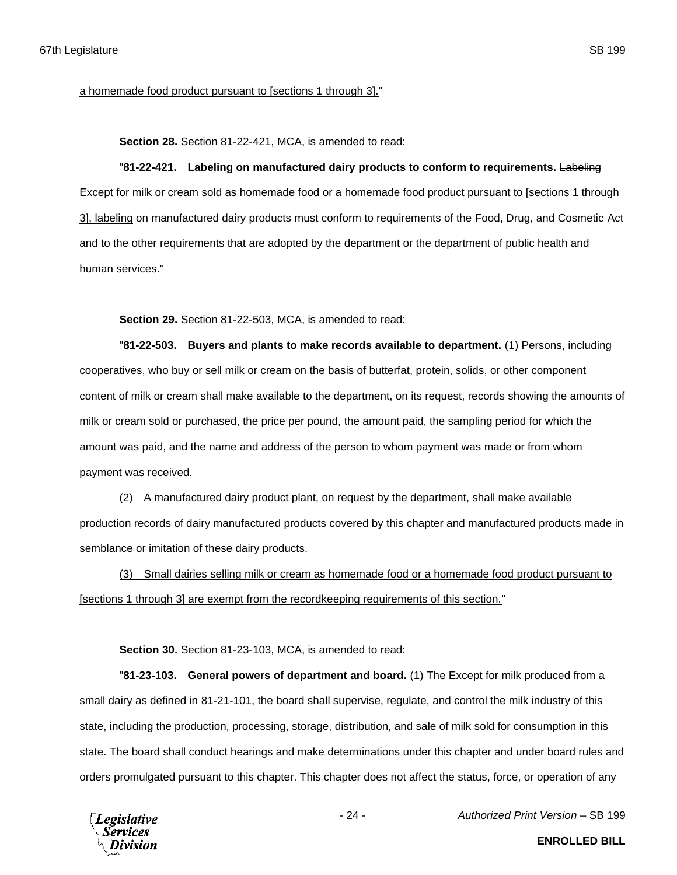**Section 28.** Section 81-22-421, MCA, is amended to read:

"**81-22-421. Labeling on manufactured dairy products to conform to requirements.** Labeling Except for milk or cream sold as homemade food or a homemade food product pursuant to [sections 1 through 3], labeling on manufactured dairy products must conform to requirements of the Food, Drug, and Cosmetic Act and to the other requirements that are adopted by the department or the department of public health and human services."

**Section 29.** Section 81-22-503, MCA, is amended to read:

"**81-22-503. Buyers and plants to make records available to department.** (1) Persons, including cooperatives, who buy or sell milk or cream on the basis of butterfat, protein, solids, or other component content of milk or cream shall make available to the department, on its request, records showing the amounts of milk or cream sold or purchased, the price per pound, the amount paid, the sampling period for which the amount was paid, and the name and address of the person to whom payment was made or from whom payment was received.

(2) A manufactured dairy product plant, on request by the department, shall make available production records of dairy manufactured products covered by this chapter and manufactured products made in semblance or imitation of these dairy products.

(3) Small dairies selling milk or cream as homemade food or a homemade food product pursuant to [sections 1 through 3] are exempt from the recordkeeping requirements of this section."

**Section 30.** Section 81-23-103, MCA, is amended to read:

"**81-23-103. General powers of department and board.** (1) The Except for milk produced from a small dairy as defined in 81-21-101, the board shall supervise, regulate, and control the milk industry of this state, including the production, processing, storage, distribution, and sale of milk sold for consumption in this state. The board shall conduct hearings and make determinations under this chapter and under board rules and orders promulgated pursuant to this chapter. This chapter does not affect the status, force, or operation of any



- 24 - *Authorized Print Version* – SB 199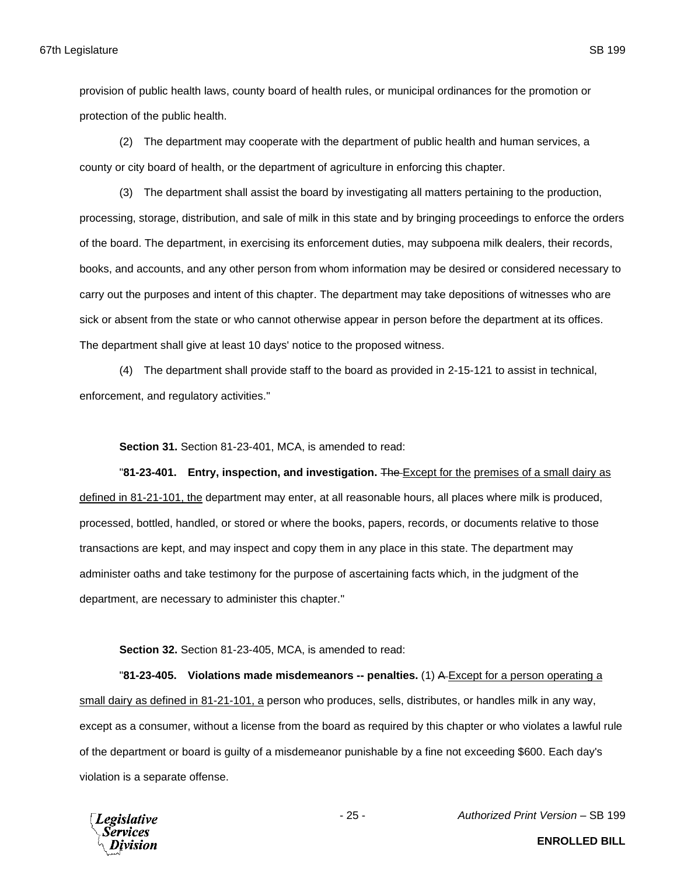provision of public health laws, county board of health rules, or municipal ordinances for the promotion or protection of the public health.

(2) The department may cooperate with the department of public health and human services, a county or city board of health, or the department of agriculture in enforcing this chapter.

(3) The department shall assist the board by investigating all matters pertaining to the production, processing, storage, distribution, and sale of milk in this state and by bringing proceedings to enforce the orders of the board. The department, in exercising its enforcement duties, may subpoena milk dealers, their records, books, and accounts, and any other person from whom information may be desired or considered necessary to carry out the purposes and intent of this chapter. The department may take depositions of witnesses who are sick or absent from the state or who cannot otherwise appear in person before the department at its offices. The department shall give at least 10 days' notice to the proposed witness.

(4) The department shall provide staff to the board as provided in 2-15-121 to assist in technical, enforcement, and regulatory activities."

**Section 31.** Section 81-23-401, MCA, is amended to read:

"**81-23-401. Entry, inspection, and investigation.** The Except for the premises of a small dairy as defined in 81-21-101, the department may enter, at all reasonable hours, all places where milk is produced, processed, bottled, handled, or stored or where the books, papers, records, or documents relative to those transactions are kept, and may inspect and copy them in any place in this state. The department may administer oaths and take testimony for the purpose of ascertaining facts which, in the judgment of the department, are necessary to administer this chapter."

**Section 32.** Section 81-23-405, MCA, is amended to read:

"**81-23-405. Violations made misdemeanors -- penalties.** (1) A Except for a person operating a small dairy as defined in 81-21-101, a person who produces, sells, distributes, or handles milk in any way, except as a consumer, without a license from the board as required by this chapter or who violates a lawful rule of the department or board is guilty of a misdemeanor punishable by a fine not exceeding \$600. Each day's violation is a separate offense.



- 25 - *Authorized Print Version* – SB 199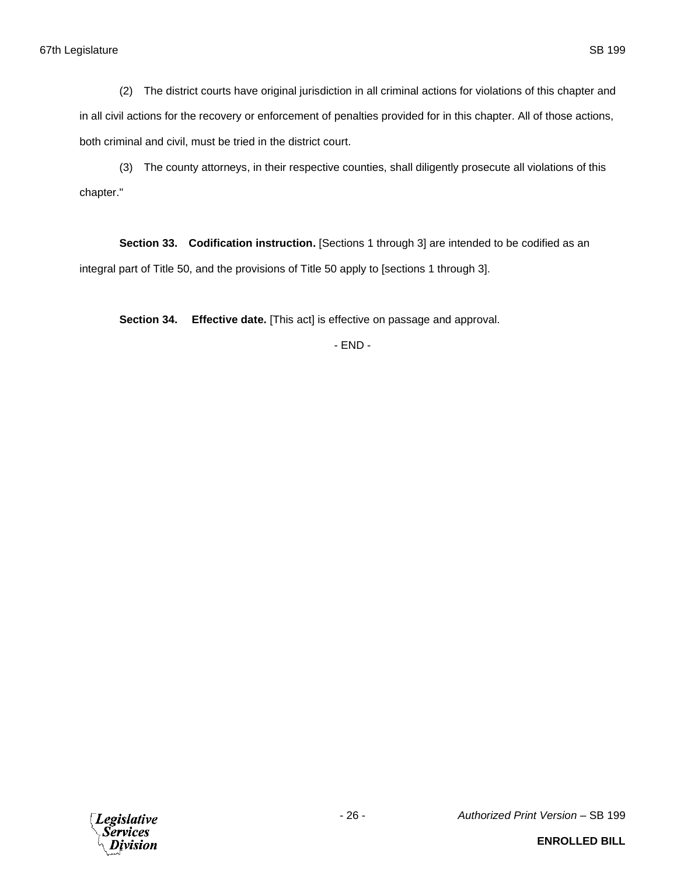(2) The district courts have original jurisdiction in all criminal actions for violations of this chapter and in all civil actions for the recovery or enforcement of penalties provided for in this chapter. All of those actions, both criminal and civil, must be tried in the district court.

(3) The county attorneys, in their respective counties, shall diligently prosecute all violations of this chapter."

**Section 33. Codification instruction.** [Sections 1 through 3] are intended to be codified as an integral part of Title 50, and the provisions of Title 50 apply to [sections 1 through 3].

**Section 34. Effective date.** [This act] is effective on passage and approval.

- END -

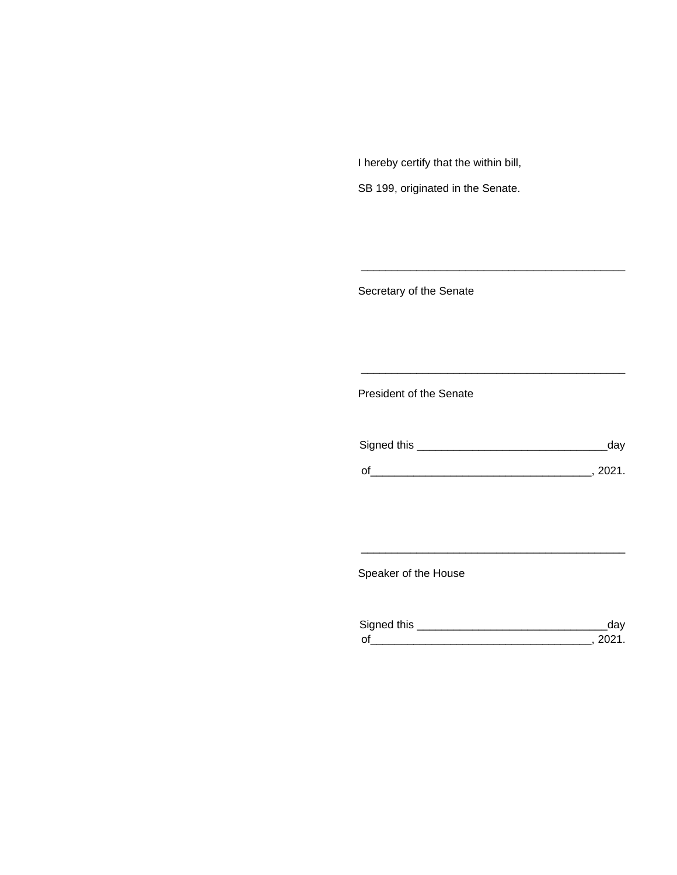I hereby certify that the within bill,

SB 199, originated in the Senate.

Secretary of the Senate

President of the Senate

| Signed this | uav    |
|-------------|--------|
|             | 111'11 |
| $\Omega$    |        |

\_\_\_\_\_\_\_\_\_\_\_\_\_\_\_\_\_\_\_\_\_\_\_\_\_\_\_\_\_\_\_\_\_\_\_\_\_\_\_\_\_\_\_

\_\_\_\_\_\_\_\_\_\_\_\_\_\_\_\_\_\_\_\_\_\_\_\_\_\_\_\_\_\_\_\_\_\_\_\_\_\_\_\_\_\_\_

Speaker of the House

| Sianed this |  |
|-------------|--|
| $\Omega$    |  |

\_\_\_\_\_\_\_\_\_\_\_\_\_\_\_\_\_\_\_\_\_\_\_\_\_\_\_\_\_\_\_\_\_\_\_\_\_\_\_\_\_\_\_